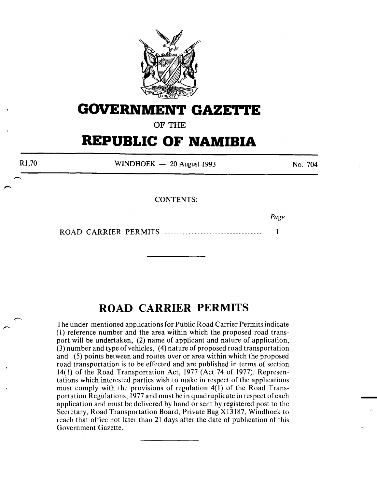

## **GOVERNMENT GAZETTE**

**OF THE** 

# **REPUBLIC OF NAMIBIA**

R1,70 WINDHOEK  $-20$  August 1993 CONTENTS: No. 704

*Page* 

 $\mathbf{1}$ 

ROAD CARRIER PERMITS ................................................................. .

### **ROAD CARRIER PERMITS**

The under-mentioned applications for Public Road Carrier Permits indicate ( 1) reference number and the area within which the proposed road transport will be undertaken, (2) name of applicant and nature of application, (3) number and type of vehicles, (4) nature of proposed road transportation and (5) points between and routes over or area within which the proposed road transportation is to be effected and are published in terms of section 14(1) of the Road Transportation Act, 1977 (Act 74 of 1977). Representations which interested parties wish to make in respect of the applications must comply with the provisions of regulation 4(1) of the Road Transportation Regulations, 1977 and must be in quadruplicate in respect of each application and must be delivered by hand or sent by registered post to the Secretary, Road Transportation Board, Private Bag X13187, Windhoek to reach that office not later than 21 days after the date of publication of this Government Gazette.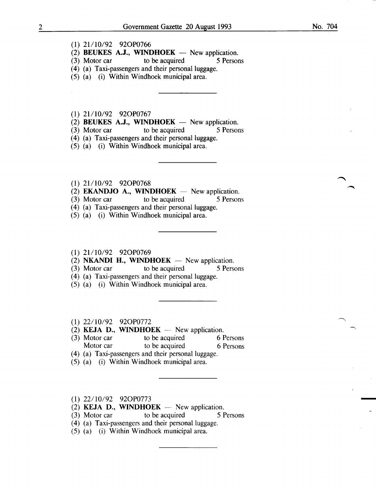- (1) 21/10/92 92OP0766
- (2) BEUKES A.J., WINDHOEK  $-$  New application.
- (3) Motor car to be acquired 5 Persons
- (4) (a) Taxi-passengers and their personal luggage.
- (5) (a) (i) Within Windhoek municipal area.

 $(1)$  21/10/92 92OP0767

- (2) BEUKES A.J., WINDHOEK  $-$  New application.
- (3) Motor car to be acquired 5 Persons
- (4) (a) Taxi-passengers and their personal luggage.

(5) (a) (i) Within Windhoek municipal area.

- (1) 21/10/92 92OP0768
- (2) **EKANDJO A., WINDHOEK**  $-$  New application.
- (3) Motor car to be acquired 5 Persons
- (4) (a) Taxi-passengers and their personal luggage.
- (5) (a) (i) Within Windhoek municipal area.

#### (1) 21/10/92 92OP0769

- (2) NKANDI H., WINDHOEK  $-$  New application.
- (3) Motor car to be acquired 5 Persons
- ( 4) (a) Taxi-passengers and their personal luggage.
- (5) (a) (i) Within Windhoek municipal area.
- (1) 22/10/92 920P0772
- (2) KEJA D., WINDHOEK  $-$  New application.
- (3) Motor car to be acquired 6 Persons
	- Motor car to be acquired 6 Persons
- ( 4) (a) Taxi-passengers and their personal luggage.
- (5) (a) (i) Within Windhoek municipal area.
- 
- (1)  $22/10/92$  92OP0773<br>(2) **KEJA D., WINDHOEK** New application.
- (3) Motor car to be acquired 5 Persons
- (4) (a) Taxi-passengers and their personal luggage.
- (5) (a) (i) Within Windhoek municipal area.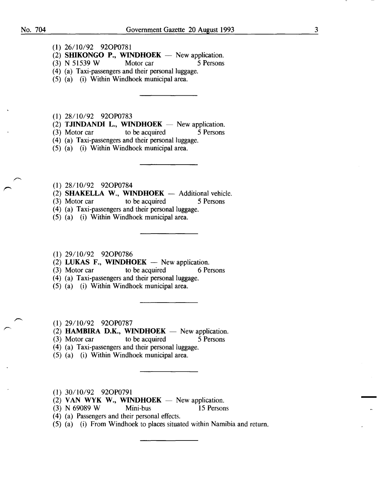- (1) 26/10/92 920P0781
- (2) **SHIKONGO P., WINDHOEK** New application.<br>(3) N 51539 W Motor car 5 Persons
- $(3)$  N 51539 W Motor car 5 Persons
- (4) (a) Taxi-passengers and their personal luggage.
- (5) (a) (i) Within Windhoek municipal area.

(1) 28/10/92 920P0783

- $(2)$  **TJINDANDI L., WINDHOEK** New application.
- (3) Motor car to be acquired 5 Persons
- (4) (a) Taxi-passengers and their personal luggage.
- (5) (a) (i) Within Windhoek municipal area.
- **(1)** 28/10/92 920P0784
- (2) **SHAKELLA W., WINDHOEK** Additional vehicle.<br>(3) Motor car to be acquired  $\overline{5}$  Persons
- (3) Motor car to be acquired
- (4) (a) Taxi-passengers and their personal luggage.
- (5) (a) (i) Within Windhoek municipal area.
- (1) 29/10/92 920P0786
- (2) **LUKAS F., WINDHOEK** New application.<br>(3) Motor car to be acquired 6 Pe
- to be acquired 6 Persons
- (4) (a) Taxi-passengers and their personal luggage.
- (5) (a) (i) Within Windhoek municipal area.
- **(1)** 29/10/92 920P0787
- (2) **HAMBIRA D.K., WINDHOEK**  $-$  New application.
- (3) Motor car to be acquired 5 Persons
- $(4)$  (a) Taxi-passengers and their personal luggage.
- (5) (a) (i) Within Windhoek municipal area.
- **(1)** 30/10/92 920P0791
- (2) VAN WYK W., WINDHOEK  $-$  New application.
- (3) N 69089 W Mini-bus 15 Persons
- ( 4) (a) Passengers and their personal effects.
- (5) (a) (i) From Windhoek to places situated within Namibia and return.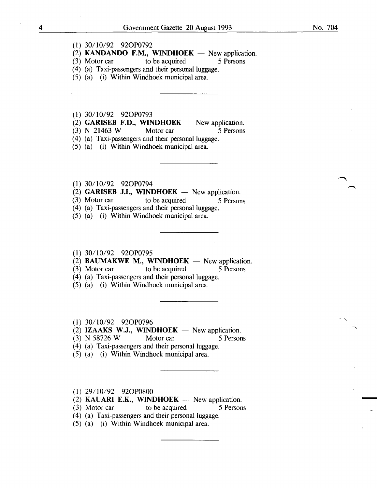- (1) 30/10/92 920P0792
- (2) **KANDANDO F.M., WINDHOEK** New application.<br>(3) Motor car to be acquired 5 Persons
- $(3)$  Motor car
- (4) (a) Taxi-passengers and their personal luggage.
- (5) (a) (i) Within Windhoek municipal area.
- (1) 30/10/92 920P0793
- (2) GARISEB F.D., WINDHOEK  $-$  New application.
- (3) N 21463 W Motor car 5 Persons
- (4) (a) Taxi-passengers and their personal luggage.
- (5) (a) (i) Within Windhoek municipal area.
- (1) 30/10/92 920P0794
- (2) GARISEB J.I., WINDHOEK  $-$  New application.
- (3) Motor car to be acquired 5 Persons
- (4) (a) Taxi-passengers and their personal luggage.
- (5) (a) (i) Within Windhoek municipal area.

#### (1) 30/10/92 920P0795

- (2) BAUMAKWE M., WINDHOEK  $-$  New application.
- (3) Motor car to be acquired 5 Persons
- (4) (a) Taxi-passengers and their personal luggage.
- (5) (a) (i) Within Windhoek municipal area.
- (1) 30/10/92 920P0796
- (2) IZAAKS W.J., WINDHOEK  $-$  New application.
- (3) N 58726 W Motor car 5 Persons
- ( 4) (a) Taxi-passengers and their personal luggage.
- (5) (a) (i) Within Windhoek municipal area.
- (1) 29/10/92 920P0800
- (2) KAUARI E.K., WINDHOEK  $-$  New application.
- (3) Motor car to be acquired 5 Persons
- (4) (a) Taxi-passengers and their personal luggage.
- (5) (a) (i) Within Windhoek municipal area.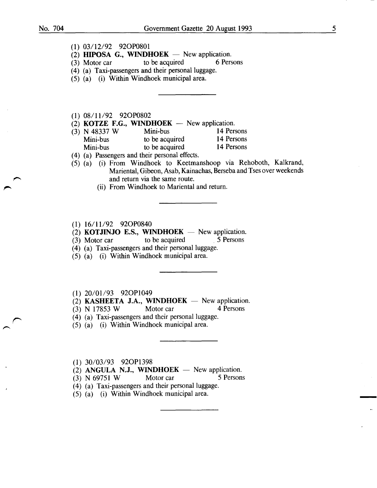- (1) 03/12/92 920P0801
- (2) **HIPOSA G., WINDHOEK**  $-$  New application.<br>(3) Motor car to be acquired 6 Persons
- $(3)$  Motor car
- (4) (a) Taxi-passengers and their personal luggage.
- (5) (a) (i) Within Windhoek municipal area.
- (1) 08/11/92 92OP0802
- 
- (2) **KOTZE F.G., WINDHOEK** New application.<br>(3) N 48337 W Mini-bus 14 Persons (3) N 48337 W Mini-bus 14 Persons<br>
Mini-bus to be acquired 14 Persons Mini-bus to be acquired 14 Persons<br>
Mini-bus to be acquired 14 Persons Mini-bus to be acquired
- ( 4) (a) Passengers and their personal effects.
- (5) (a) (i) From Windhoek to Keetmanshoop via Rehoboth, Kalkrand, Mariental, Gibeon, Asab, Kainachas, Berseba and Tses over weekends and return via the same route.
	- (ii) From Windhoek to Mariental and return.
- (1) 16/11/92 92OP0840
- (2) **KOTJINJO E.S., WINDHOEK** New application.<br>(3) Motor car to be acquired 5 Persons
- $(3)$  Motor car to be acquired
- (4) (a) Taxi-passengers and their personal luggage.
- (5) (a) (i) Within Windhoek municipal area.
- $(1)$  20/01/93 92OP1049
- (2) KASHEETA J.A., WINDHOEK  $-$  New application.
- (3) N 17853 W Motor car 4 Persons
- (4) (a) Taxi-passengers and their personal luggage.
- (5) (a) (i) Within Windhoek municipal area.

(1) 30/03/93 920P1398

- (2) ANGULA N.J., WINDHOEK  $-$  New application.
- $(3)$  N 69751 W Motor car 5 Persons
- (4) (a) Taxi-passengers and their personal luggage.
- (5) (a) (i) Within Windhoek municipal area.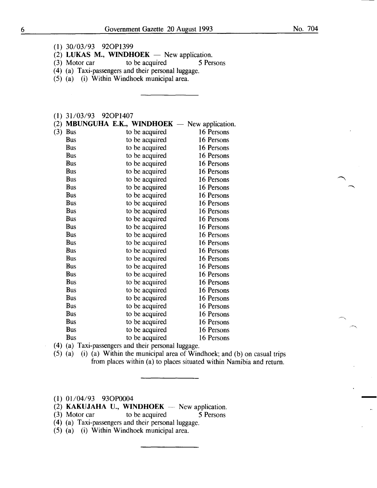- (1) 30/03/93 920P1399
- (2) LUKAS M., WINDHOEK New application.<br>(3) Motor car to be acquired 5 Persons
- to be acquired
- (4) (a) Taxi-passengers and their personal luggage.
- (5) (a) (i) Within Windhoek municipal area.

#### (1) 31/03/93 920P1407

| (2) |            | <b>MBUNGUHA E.K., WINDHOEK</b> $-$ New application. |            |
|-----|------------|-----------------------------------------------------|------------|
| (3) | <b>Bus</b> | to be acquired                                      | 16 Persons |
|     | Bus        | to be acquired                                      | 16 Persons |
|     | Bus        | to be acquired                                      | 16 Persons |
|     | <b>Bus</b> | to be acquired                                      | 16 Persons |
|     | <b>Bus</b> | to be acquired                                      | 16 Persons |
|     | <b>Bus</b> | to be acquired                                      | 16 Persons |
|     | <b>Bus</b> | to be acquired                                      | 16 Persons |
|     | Bus        | to be acquired                                      | 16 Persons |
|     | <b>Bus</b> | to be acquired                                      | 16 Persons |
|     | <b>Bus</b> | to be acquired                                      | 16 Persons |
|     | <b>Bus</b> | to be acquired                                      | 16 Persons |
|     | Bus        | to be acquired                                      | 16 Persons |
|     | <b>Bus</b> | to be acquired                                      | 16 Persons |
|     | <b>Bus</b> | to be acquired                                      | 16 Persons |
|     | <b>Bus</b> | to be acquired                                      | 16 Persons |
|     | <b>Bus</b> | to be acquired                                      | 16 Persons |
|     | <b>Bus</b> | to be acquired                                      | 16 Persons |
|     | <b>Bus</b> | to be acquired                                      | 16 Persons |
|     | <b>Bus</b> | to be acquired                                      | 16 Persons |
|     | <b>Bus</b> | to be acquired                                      | 16 Persons |
|     | <b>Bus</b> | to be acquired                                      | 16 Persons |
|     | Bus        | to be acquired                                      | 16 Persons |
|     | <b>Bus</b> | to be acquired                                      | 16 Persons |
|     | <b>Bus</b> | to be acquired                                      | 16 Persons |
|     | <b>Bus</b> | to be acquired                                      | 16 Persons |
|     | <b>Bus</b> | to be acquired                                      | 16 Persons |
|     | <b>Bus</b> | to be acquired                                      | 16 Persons |
|     |            |                                                     |            |

- ( 4) (a) Taxi-passengers and their personal luggage.
- (5) (a) (i) (a) Within the municipal area of Windhoek; and (b) on casual trips from places within (a) to places situated within Namibia and return.
- (1) 01/04/93 930P0004

 $\sim$ 

- $(2)$  KAKUJAHA U., WINDHOEK New application.
- (3) Motor car to be acquired 5 Persons
- ( 4) (a) Taxi-passengers and their personal luggage.
- (5) (a) (i) Within Windhoek municipal area.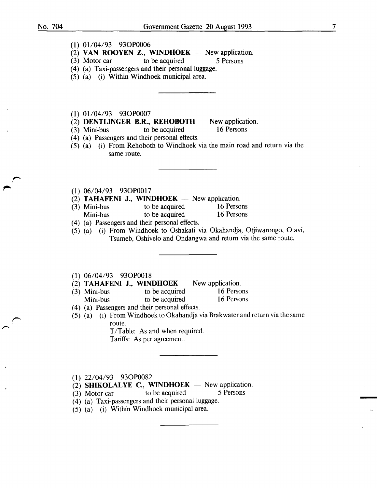- (1) 01/04/93 93OP0006
- (2) VAN ROOYEN Z., WINDHOEK  $-$  New application.
- (3) Motor car to be acquired 5 Persons
- (4) (a) Taxi-passengers and their personal luggage.
- (5) (a) (i) Within Windhoek municipal area.
- $(1)$  01/04/93 93OP0007
- (2) **DENTLINGER B.R., REHOBOTH**  $-$  New application.<br>(3) Mini-bus to be acquired 16 Persons
- $(3)$  Mini-bus to be acquired
- ( 4) (a) Passengers and their personal effects.
- (5) (a) (i) From Rehoboth to Windhoek via the main road and return via the same route.
- (1) 06/04/93 930P0017
- $(2)$  TAHAFENI J., WINDHOEK New application.
- (3) Mini-bus to be acquired 16 Persons<br>
Mini-bus to be acquired 16 Persons to be acquired
- ( 4) (a) Passengers and their personal effects.
- (5) (a) (i) From Windhoek to Oshakati via Okahandja, Otjiwarongo, Otavi, Tsumeb, Oshivelo and Ondangwa and return via the same route.
- (1) 06/04/93 930P0018
- (2) TAHAFENI J., WINDHOEK  $-$  New application.
- (3) Mini-bus to be acquired 16 Persons<br>
Mini-bus to be acquired 16 Persons Mini-bus to be acquired
- ( 4) (a) Passengers and their personal effects.
- (5) (a) (i) From Windhoek to Okahandja via Brakwater and return via the same route.

T/Table: As and when required. Tariffs: As per agreement.

- (1) 22/04/93 930P0082
- (2) SHIKOLALYE C., WINDHOEK  $-$  New application.
- $(3)$  Motor car to be acquired  $5$  Persons
- ( 4) (a) Taxi-passengers and their personal luggage.
- (5) (a) (i) Within Windhoek municipal area.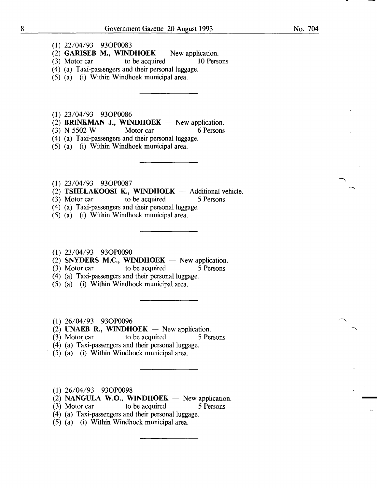- (1) 22/04/93 930P0083
- (2) GARISEB M., WINDHOEK New application.<br>(3) Motor car to be acquired 10 Persons
- to be acquired
- ( 4) (a) Taxi-passengers and their personal luggage.
- (5) (a) (i) Within Windhoek municipal area.
- (1) 23/04/93 930P0086
- (2) **BRINKMAN J., WINDHOEK** New application.<br>(3) N 5502 W Motor car 6 Persons
- $(3)$  N 5502 W
- (4) (a) Taxi-passengers and their personal luggage.
- (5) (a) (i) Within Windhoek municipal area.
- (1) 23/04/93 930P0087
- (2) **TSHELAKOOSI K., WINDHOEK** -- Additional vehicle.<br>(3) Motor car to be acquired 5 Persons
- (3) Motor car to be acquired 5 Persons
- (4) (a) Taxi-passengers and their personal luggage.
- (5) (a) (i) Within Windhoek municipal area.
- (1) 23/04/93 930P0090
- (2) SNYDERS M.C., WINDHOEK New application.<br>(3) Motor car to be acquired 5 Persons
- (3) Motor car to be acquired 5 Persons
- $(4)$  (a) Taxi-passengers and their personal luggage.
- (5) (a) (i) Within Windhoek municipal area.
- (1) 26/04/93 930P0096
- (2) UNAEB R., WINDHOEK  $-$  New application.
- (3) Motor car to be acquired 5 Persons
- (4) (a) Taxi-passengers and their personal luggage.
- (5) (a) (i) Within Windhoek municipal area.
- (1) 26/04/93 930P0098
- (2) NANGULA W.O., WINDHOEK  $-$  New application.
- (3) Motor car to be acquired 5 Persons
- (4) (a) Taxi-passengers and their personal luggage.
- (5) (a) (i) Within Windhoek municipal area.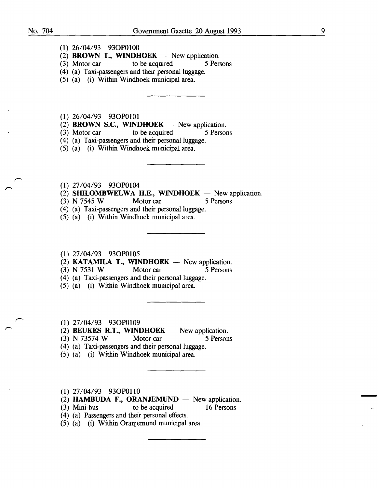- **(1)** 26/04/93 930P0100
- (2) **BROWN T., WINDHOEK** New application.
- (3) Motor car to be acquired 5 Persons
- **(4)** (a) Taxi-passengers and their personal luggage.
- (5) (a) (i) Within Windhoek municipal area.
- (1) 26/04/93 930P0101
- $(2)$  **BROWN S.C., WINDHOEK** New application.
- (3) Motor car to be acquired 5 Persons
- (4) (a) Taxi-passengers and their personal luggage.
- (5) (a) (i) Within Windhoek municipal area.
- **(1)** 27/04/93 930P0104
- (2) **SHILOMBWELWA H.E., WINDHOEK**  $-$  New application.
- (3) N 7545 W Motor car 5 Persons
- (4) (a) Taxi-passengers and their personal luggage.
- (5) (a) (i) Within Windhoek municipal area.
- (1) 27/04/93 930P0105
- (2) **KATAMILA T., WINDHOEK**  $-$  New application.
- (3) N 7531 W Motor car 5 Persons
- (4) (a) Taxi-passengers and their personal luggage.
- (5) (a) (i) Within Windhoek municipal area.
- **(1)** 27/04/93 930P0109
- (2) **BEUKES R.T., WINDHOEK** New application.
- (3) N 73574 W Motor car 5 Persons
- (4) (a) Taxi-passengers and their personal luggage.
- (5) (a) (i) Within Windhoek municipal area.
- (1) 27/04/93 930P0110
- (2) **HAMBUDA F., ORANJEMUND**  $-$  New application.
- (3) Mini-bus to be acquired 16 Persons
	-
- ( 4) (a) Passengers and their personal effects.
- (5) (a) (i) Within Oranjemund municipal area.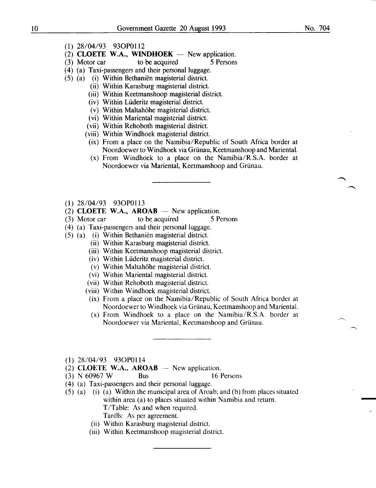No. 704

- (1) 28/04/93 930P0112
- (2) CLOETE W.A., WINDHOEK  $-$  New application.
- (3) Motor car to be acquired 5 Persons
- ( 4) (a) Taxi-passengers and their personal luggage.
- (5) (a) (i) Within Bethanien magisterial district.
	- (ii) Within Karasburg magisterial district.
	- (iii) Within Keetmanshoop magisterial district.
	- (iv) Within Liideritz magisterial district.
	- (v) Within Maltahohe magisterial district.
	- (vi) Within Mariental magisterial district.
	- (vii) Within Rehoboth magisterial district.
	- (viii) Within Windhoek magisterial district.
	- (ix) From a place on the Namibia/Republic of South Africa border at Noordoewer to Windhoek via Grünau, Keetmanshoop and Mariental.
	- (x) From Windhoek to a place on the Namibia/R.S.A. border at Noordoewer via Mariental, Keetmanshoop and Griinau.
- (1) 28/04/93 930P0113
- (2) CLOETE W.A., AROAB  $-$  New application.
- (3) Motor car to be acquired 5 Persons
- ( 4) (a) Taxi-passengers and their personal luggage.
- (5) (a) (i) Within Bethanien magisterial district.
	- (ii) Within Karasburg magisterial district.
	- (iii) Within Keetmanshoop magisterial district.
	- (iv) Within Liideritz magisterial district.
	- (v) Within Maltahohe magisterial district.
	- (vi) Within Mariental magisterial district.
	- (vii) Within Rehoboth magisterial district.
	- (viii) Within Windhoek magisterial district.
	- (ix) From a place on the Namibia/Republic of South Africa border at Noordoewer to Windhoek via Grünau, Keetmanshoop and Mariental.
	- (x) From Windhoek to a place on the Namibia/R.S.A. border at Noordoewer via Mariental, Keetmanshoop and Griinau.
- (1) 28/04/93 930P0114
- (2) CLOETE W.A., AROAB  $-$  New application.
- (3) N 60967 W Bus 16 Persons
- (4) (a) Taxi-passengers and their personal luggage.
- (5) (a) (i) (a) Within the municipal area of Aroab; and (b) from places situated within area (a) to places situated within Namibia and return. T/Table: As and when required.
	- Tariffs: As per agreement.
	- (ii) Within Karasburg magisterial district.
	- (iii) Within Keetmanshoop magisterial district.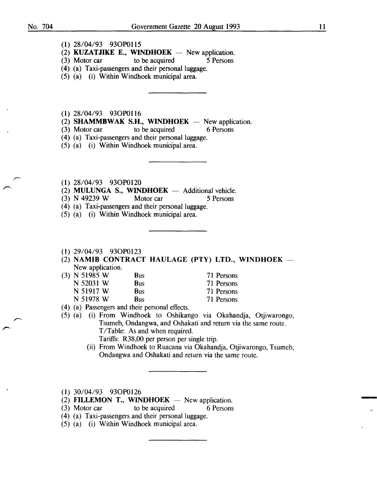- (1) 28/04/93 930P0115
- (2) **KUZATJIKE E., WINDHOEK** New application.<br>(3) Motor car to be acquired 5 Persons
- to be acquired 5 Persons
- (4) (a) Taxi-passengers and their personal luggage.
- (5) (a) (i) Within Windhoek municipal area.
- (1) 28/04/93 930P0116
- (2) **SHAMMBWAK S.H., WINDHOEK** New application.<br>(3) Motor car to be acquired 6 Persons
- to be acquired
- (4) (a) Taxi-passengers and their personal luggage.
- (5) (a) (i) Within Windhoek municipal area.
- (1) 28/04/93 930P0120
- (2) MULUNGA S., WINDHOEK  $-$  Additional vehicle.
- (3) N 49239 W Motor car 5 Persons
- (4) (a) Taxi-passengers and their personal luggage.
- (5) (a) (i) Within Windhoek municipal area.
- (1) 29/04/93 930P0123
- (2) NAMIB CONTRACT HAULAGE (PTY) LTD., WINDHOEK  $-$ New application.
- (3) N 51985 W Bus N 52031 W Bus N 51917 W Bus N 51978 W Bus 71 Persons 71 Persons 71 Persons
	- 71 Persons
- ( 4) (a) Passengers and their personal effects.

(5) (a) (i) From Windhoek to Oshikango via Okahandja, Otjiwarongo, Tsumeb, Ondangwa, and Oshakati and return via the same route. T/Table: As and when required.

- Tariffs: R38,00 per person per single trip.
- (ii) From Windhoek to Ruacana via Okahandja, Otjiwarongo, Tsumeb, Ondangwa and Oshakati and return via the same route.
- (1) 30/04/93 930P0126
- (2) FILLEMON T., WINDHOEK  $-$  New application.
- (3) Motor car to be acquired 6 Persons
- (4) (a) Taxi-passengers and their personal luggage.
- (5) (a) (i) Within Windhoek municipal area.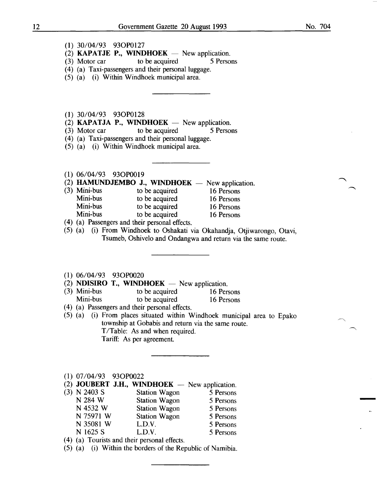- (1) 30/04/93 930P0127
- (2) **KAPATJE P., WINDHOEK** New application.<br>(3) Motor car to be acquired  $\frac{5 \text{ Persons}}{200}$
- to be acquired
- (4) (a) Taxi-passengers and their personal luggage.
- (5) (a) (i) Within Windhoek municipal area.
- (1) 30/04/93 930P0128
- (2) **KAPATJA P., WINDHOEK** New application.<br>(3) Motor car to be acquired  $\frac{5 \text{ Person}}{2}$
- to be acquired 5 Persons
- (4) (a) Taxi-passengers and their personal luggage.
- (5) (a) (i) Within Windhoek municipal area.
- (1) 06/04/93 930P0019
- (2) **HAMUNDJEMBO J., WINDHOEK** New application.<br>(3) Mini-bus to be acquired 16 Persons
- Mini-bus to be acquired 16 Persons<br>
Mini-bus to be acquired 16 Persons Mini-bus to be acquired 16 Persons<br>
Mini-bus to be acquired 16 Persons Mini-bus to be acquired 16 Persons<br>
Mini-bus to be acquired 16 Persons to be acquired 16 Persons
- ( 4) (a) Passengers and their personal effects.
- (5) (a) (i) From Windhoek to Oshakati via Okahandja, Otjiwarongo, Otavi, Tsumeb, Oshivelo and Ondangwa and return via the same route.
- (1) 06/04/93 930P0020
- (2) **NDISIRO T., WINDHOEK**  $-$  New application.
- (3) Mini-bus to be acquired 16 Persons<br>
Mini-bus to be acquired 16 Persons to be acquired 16 Persons
- ( 4) (a) Passengers and their personal effects.
- (5) (a) (i) From places situated within Windhoek municipal area to Epako township at Gobabis and return via the same route. T/Table: As and when required. Tariff: As per agreement.
- (1) 07/04/93 930P0022
- (2) **JOUBERT J.H., WINDHOEK**  $-$  New application.
- (3) N 2403 S<br>
N 284 W<br>
Station Wagon<br>
S Persons<br>
S Persons Station Wagon 5 Persons N 4532 W Station Wagon 5 Persons N 75971 W Station Wagon 5 Persons N 35081 W L.D.V. 5 Persons<br>N 1625 S L.D.V. 5 Persons L.D.V. 5 Persons
- ( 4) (a) Tourists and their personal effects.
- (5) (a) (i) Within the borders of the Republic of Namibia.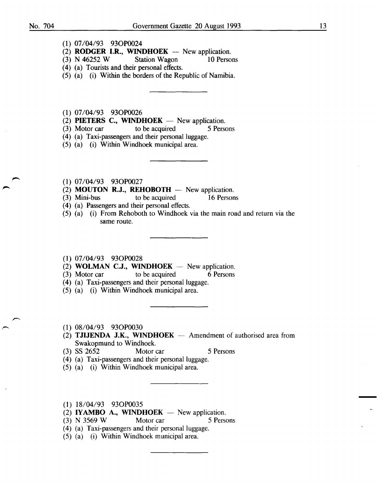- **(1)** 07/04/93 930P0024
- (2) **RODGER I.R., WINDHOEK** New application.<br>(3) N 46252 W Station Wagon 10 Persons
- $(3)$  N 46252 W
- ( 4) (a) Tourists and their personal effects.
- (5) (a) (i) Within the borders of the Republic of Namibia.
- **(1)** 07/04/93 930P0026
- $(2)$  **PIETERS C., WINDHOEK** New application.
- (3) Motor car to be acquired 5 Persons
- (4) (a) Taxi-passengers and their personal luggage.
- (5) (a) (i) Within Windhoek municipal area.
- **(1)** 07/04/93 930P0027
- $(2)$  **MOUTON R.J., REHOBOTH**  $-$  New application.
- (3) Mini-bus to be acquired 16 Persons
- (4) (a) Passengers and their personal effects.
- (5) (a) (i) From Rehoboth to Windhoek via the main road and return via the same route.
- (1) 07/04/93 930P0028
- (2) **WOLMAN C.J., WINDHOEK** New application.<br>(3) Motor car to be acquired 6 Persons
- $(3)$  Motor car
- (4) (a) Taxi-passengers and their personal luggage.
- (5) (a) (i) Within Windhoek municipal area.
- (1) 08/04/93 930P0030
- (2) **TJIJENDA J.K., WINDHOEK** Amendment of authorised area from Swakopmund to Windhoek.
- (3) SS 2652 Motor car 5 Persons
- ( 4) (a) Taxi-passengers and their personal luggage.
- (5) (a) (i) Within Windhoek municipal area.
- (1) 18/04/93 930P0035
- $(2)$  **IYAMBO A., WINDHOEK** New application.
- (3) N 3569 W Motor car 5 Persons
- (4) (a) Taxi-passengers and their personal luggage.
- (5) (a) (i) Within Windhoek municipal area.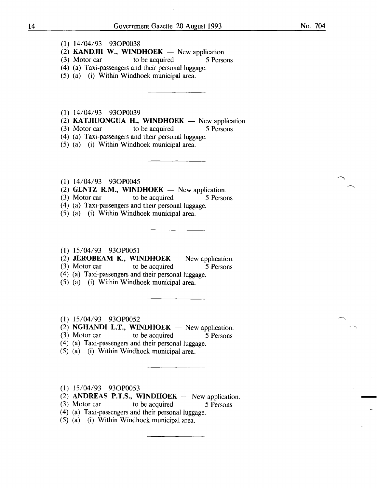- (1) 14/04/93 930P0038
- (2) **KANDJII W., WINDHOEK**  $-$  New application.<br>(3) Motor car to be acquired 5 Perso
- to be acquired 5 Persons
- ( 4) (a) Taxi-passengers and their personal luggage.
- (5) (a) (i) Within Windhoek municipal area.
- (1) 14/04/93 930P0039
- (2) **KATJIUONGUA H., WINDHOEK** New application.<br>(3) Motor car to be acquired 5 Persons
- to be acquired 5 Persons
- (4) (a) Taxi-passengers and their personal luggage.
- (5) (a) (i) Within Windhoek municipal area.
- (1) 14/04/93 930P0045
- (2) **GENTZ R.M., WINDHOEK** New application.<br>(3) Motor car to be acquired 5 Persons
- $(3)$  Motor car to be acquired
- (4) (a) Taxi-passengers and their personal luggage.
- (5) (a) (i) Within Windhoek municipal area.
- (1) 15/04/93 930P0051
- (2) **JEROBEAM K., WINDHOEK**  $-$  New application.<br>(3) Motor car to be acquired 5 Persons
- to be acquired 5 Persons
- ( 4) (a) Taxi-passengers and their personal luggage.
- (5) (a) (i) Within Windhoek municipal area.
- (1) 15/04/93 930P0052
- (2) NGHANDI L.T., WINDHOEK  $-$  New application.
- (3) Motor car to be acquired 5 Persons
- (4) (a) Taxi-passengers and their personal luggage.
- (5) (a) (i) Within Windhoek municipal area.
- (1) 15/04/93 930P0053
- $(2)$  ANDREAS P.T.S., WINDHOEK New application.
- (3) Motor car to be acquired 5 Persons
- (4) (a) Taxi-passengers and their personal luggage.
- (5) (a) (i) Within Windhoek municipal area.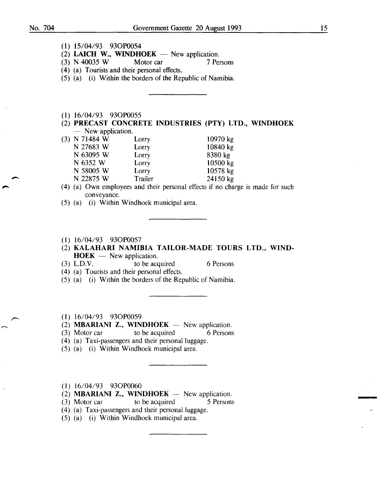- (1) 15/04/93 930P0054
- (2) LAICH W., WINDHOEK New application.<br>(3) N 40035 W Motor car 7 Pe.
- (3) N 40035 W Motor car 7 Persons
- ( 4) (a) Tourists and their personal effects.
- (5) (a) (i) Within the borders of the Republic of Namibia.
- (1) 16/04/93 930P0055
- (2) PRECAST CONCRETE INDUSTRIES (PTY) LTD., WINDHOEK - New application.

| (3) N 71484 W | Lorry   | $10970$ kg |
|---------------|---------|------------|
| N 27683 W     | Lorry   | 10840 kg   |
| N 63095 W     | Lorry   | 8380 kg    |
| N 6352 W      | Lorry   | 10500 kg   |
| N 58005 W     | Lorry   | 10578 kg   |
| N 22875 W     | Trailer | 24150 kg   |
|               |         |            |

- (4) (a) Own employees and their personal effects if no charge is made for such conveyance.
- (5) (a) (i) Within Windhoek municipal area.
- (1) 16/04/93 930P0057
- (2) KALAHARI NAMIBIA TAILOR-MADE TOURS LTD., WIND- $HOEK$  — New application.
- (3) L.D.V. to be acquired 6 Persons

- (4) (a) Tourists and their personal effects.
- (5) (a) (i) Within the borders of the Republic of Namibia.
- (1) 16/04/93 930P0059
- (2) **MBARIANI Z., WINDHOEK** New application.
- (3) Motor car to be acquired 6 Persons
- (4) (a) Taxi-passengers and their personal luggage.
- (5) (a) (i) Within Windhoek municipal area.
- (1) 16/04/93 930P0060
- (2) **MBARIANI Z., WINDHOEK**  $-$  New application.
- (3) Motor car to be acquired 5 Persons
- (4) (a) Taxi-passengers and their personal luggage.
- (5) (a) (i) Within Windhoek municipal area.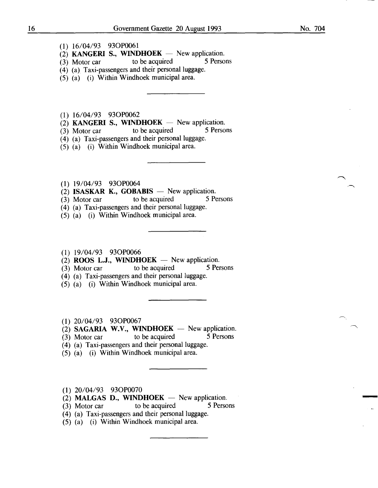- (I) I6/04/93 930P006I
- (2) **KANGERI S., WINDHOEK**  $-$  New application.<br>(3) Motor car to be acquired 5 Persons
- $(3)$  Motor car to be acquired
- (4) (a) Taxi-passengers and their personal luggage.
- (5) (a) (i) Within Windhoek municipal area.
- (I) I6/04/93 930P0062
- (2) **KANGERI S., WINDHOEK** New application.<br>(3) Motor car to be acquired 5 Persons
- (3) Motor car
- (4) (a) Taxi-passengers and their personal luggage.
- (5) (a) (i) Within Windhoek municipal area.
- (I) I9/04/93 930P0064
- (2) **ISASKAR K., GOBABIS** New application.<br>(3) Motor car to be acquired 5 Persons
- $(3)$  Motor car
- ( 4) (a) Taxi-passengers and their personal luggage.
- (5) (a) (i) Within Windhoek municipal area.
- (I) I9/04/93 930P0066
- $(2)$  ROOS L.J., WINDHOEK New application.
- (3) Motor car to be acquired 5 Persons
- (4) (a) Taxi-passengers and their personal luggage.
- (5) (a) (i) Within Windhoek municipal area.
- (I) 20/04/93 930P0067

 $(2)$  SAGARIA W.V., WINDHOEK - New application.

- (3) Motor car to be acquired 5 Persons
- (4) (a) Taxi-passengers and their personal luggage.
- (5) (a) (i) Within Windhoek municipal area.
- (I) 20/04/93 930P0070
- 
- (2) **MALGAS D., WINDHOEK** New application.<br>
(3) Motor car to be acquired 5 Persons
- (4) (a) Taxi-passengers and their personal luggage.
- (5) (a) (i) Within Windhoek municipal area.